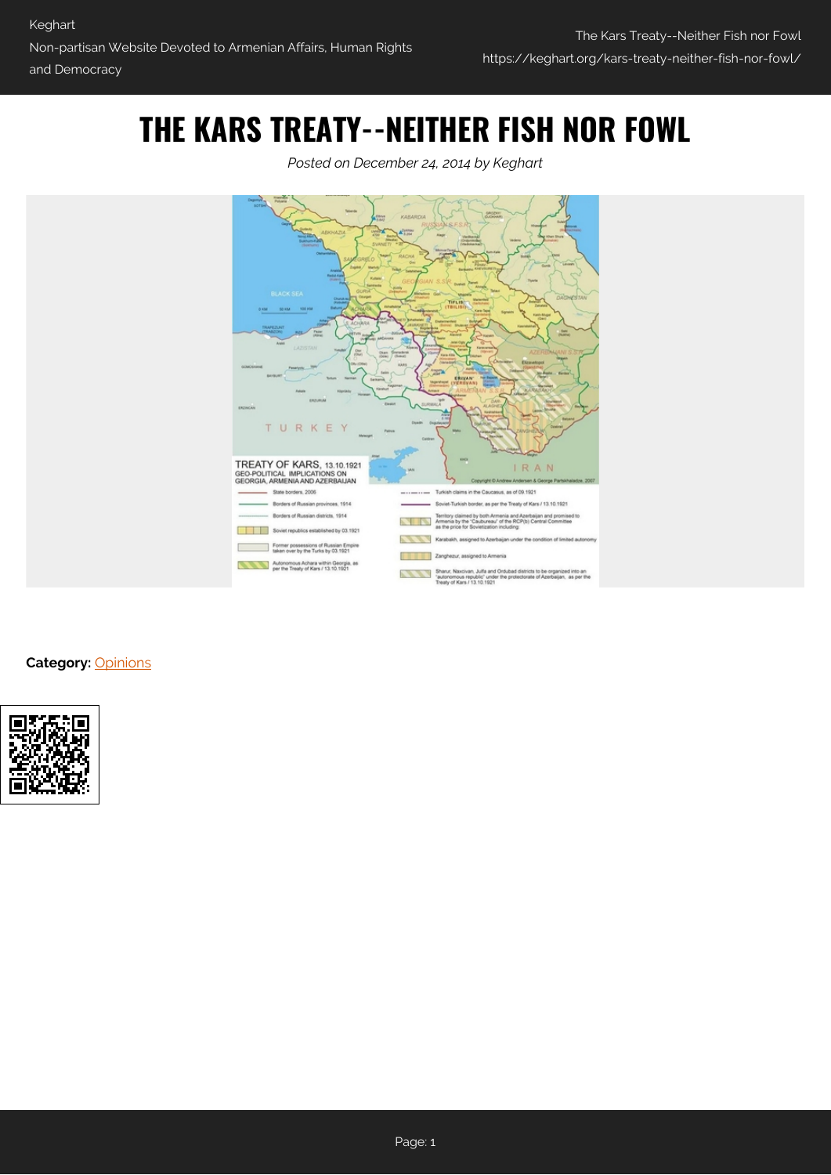## **THE KARS TREATY--NEITHER FISH NOR FOWL**





**Category:** [Opinions](https://keghart.org/category/opinions/)

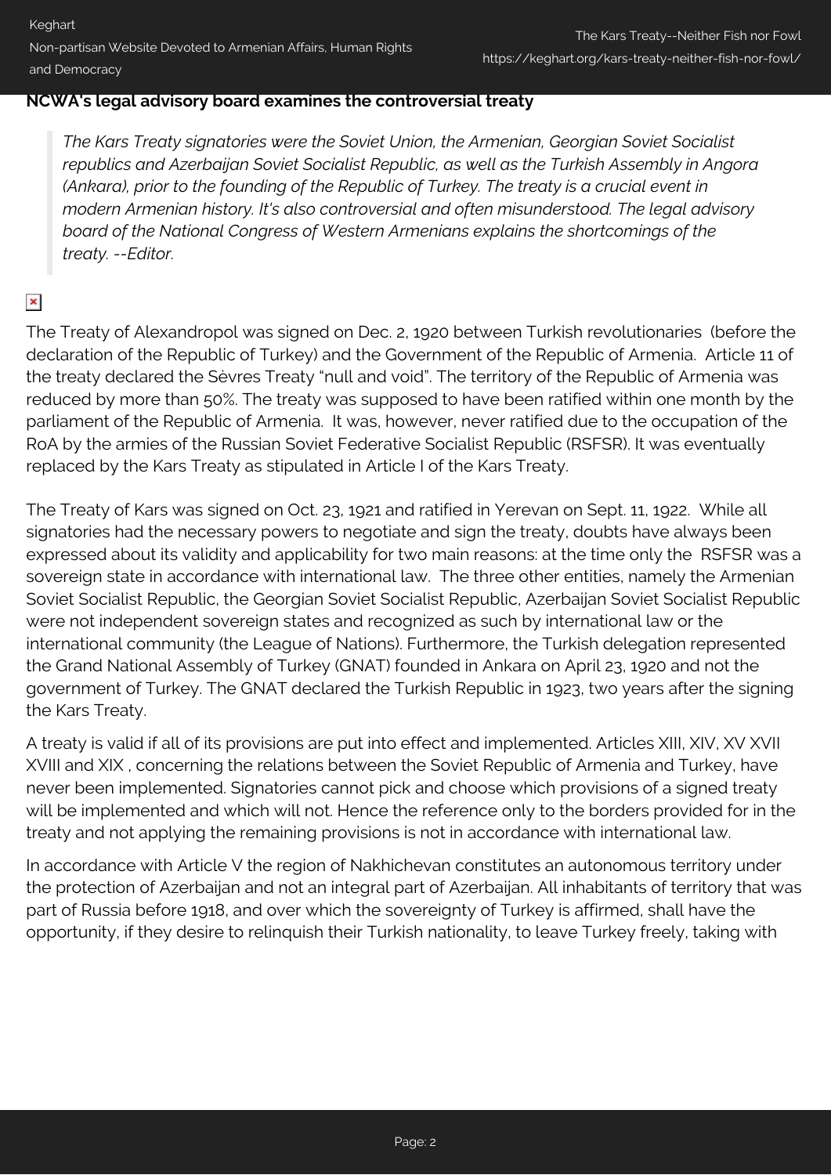Keghart Non-partisan Website Devoted to Armenian Affairs, Human Rights and Democracy

## **NCWA's legal advisory board examines the controversial treaty**

*The Kars Treaty signatories were the Soviet Union, the Armenian, Georgian Soviet Socialist republics and Azerbaijan Soviet Socialist Republic, as well as the Turkish Assembly in Angora (Ankara), prior to the founding of the Republic of Turkey. The treaty is a crucial event in modern Armenian history. It's also controversial and often misunderstood. The legal advisory board of the National Congress of Western Armenians explains the shortcomings of the treaty. --Editor.*

## $\pmb{\times}$

The Treaty of Alexandropol was signed on Dec. 2, 1920 between Turkish revolutionaries (before the declaration of the Republic of Turkey) and the Government of the Republic of Armenia. Article 11 of the treaty declared the Sèvres Treaty "null and void". The territory of the Republic of Armenia was reduced by more than 50%. The treaty was supposed to have been ratified within one month by the parliament of the Republic of Armenia. It was, however, never ratified due to the occupation of the RoA by the armies of the Russian Soviet Federative Socialist Republic (RSFSR). It was eventually replaced by the Kars Treaty as stipulated in Article I of the Kars Treaty.

The Treaty of Kars was signed on Oct. 23, 1921 and ratified in Yerevan on Sept. 11, 1922. While all signatories had the necessary powers to negotiate and sign the treaty, doubts have always been expressed about its validity and applicability for two main reasons: at the time only the RSFSR was a sovereign state in accordance with international law. The three other entities, namely the Armenian Soviet Socialist Republic, the Georgian Soviet Socialist Republic, Azerbaijan Soviet Socialist Republic were not independent sovereign states and recognized as such by international law or the international community (the League of Nations). Furthermore, the Turkish delegation represented the Grand National Assembly of Turkey (GNAT) founded in Ankara on April 23, 1920 and not the government of Turkey. The GNAT declared the Turkish Republic in 1923, two years after the signing the Kars Treaty.

A treaty is valid if all of its provisions are put into effect and implemented. Articles XIII, XIV, XV XVII XVIII and XIX , concerning the relations between the Soviet Republic of Armenia and Turkey, have never been implemented. Signatories cannot pick and choose which provisions of a signed treaty will be implemented and which will not. Hence the reference only to the borders provided for in the treaty and not applying the remaining provisions is not in accordance with international law.

In accordance with Article V the region of Nakhichevan constitutes an autonomous territory under the protection of Azerbaijan and not an integral part of Azerbaijan. All inhabitants of territory that was part of Russia before 1918, and over which the sovereignty of Turkey is affirmed, shall have the opportunity, if they desire to relinquish their Turkish nationality, to leave Turkey freely, taking with